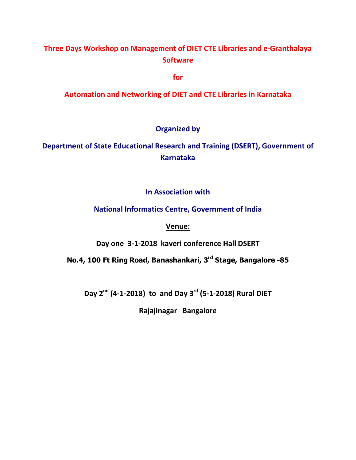# **Three Days Workshop on Management of DIET CTE Libraries and e-Granthalaya Software**

**for** 

**Automation and Networking of DIET and CTE Libraries in Karnataka** 

## **Organized by**

**Department of State Educational Research and Training (DSERT), Government of Karnataka** 

### **In Association with**

### **National Informatics Centre, Government of India**

#### **Venue:**

**Day one 3-1-2018 kaveri conference Hall DSERT** 

**No.4, 100 Ft Ring Road, Banashankari, 3rd Stage, Bangalore -85** 

**Day 2nd (4-1-2018) to and Day 3rd (5-1-2018) Rural DIET** 

**Rajajinagar Bangalore**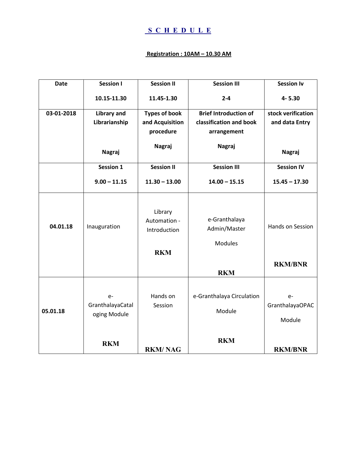## **S C H E D U L E**

#### **Registration : 10AM – 10.30 AM**

| <b>Date</b> | <b>Session I</b>                         | <b>Session II</b>                                     | <b>Session III</b>                       | <b>Session Iv</b>                  |
|-------------|------------------------------------------|-------------------------------------------------------|------------------------------------------|------------------------------------|
|             | 10.15-11.30                              | 11.45-1.30                                            | $2 - 4$                                  | 4-5.30                             |
| 03-01-2018  | <b>Library and</b>                       | <b>Types of book</b>                                  | <b>Brief Introduction of</b>             | stock verification                 |
|             | Librarianship                            | and Acquisition                                       | classification and book                  | and data Entry                     |
|             |                                          | procedure                                             | arrangement                              |                                    |
|             |                                          | Nagraj                                                | Nagraj                                   |                                    |
|             | <b>Nagraj</b>                            |                                                       |                                          | <b>Nagraj</b>                      |
|             | <b>Session 1</b>                         | <b>Session II</b>                                     | <b>Session III</b>                       | <b>Session IV</b>                  |
|             | $9.00 - 11.15$                           | $11.30 - 13.00$                                       | $14.00 - 15.15$                          | $15.45 - 17.30$                    |
| 04.01.18    | Inauguration                             | Library<br>Automation -<br>Introduction<br><b>RKM</b> | e-Granthalaya<br>Admin/Master<br>Modules | Hands on Session<br><b>RKM/BNR</b> |
|             |                                          |                                                       | <b>RKM</b>                               |                                    |
| 05.01.18    | $e-$<br>GranthalayaCatal<br>oging Module | Hands on<br>Session                                   | e-Granthalaya Circulation<br>Module      | $e-$<br>GranthalayaOPAC<br>Module  |
|             | <b>RKM</b>                               | <b>RKM/NAG</b>                                        | <b>RKM</b>                               | <b>RKM/BNR</b>                     |